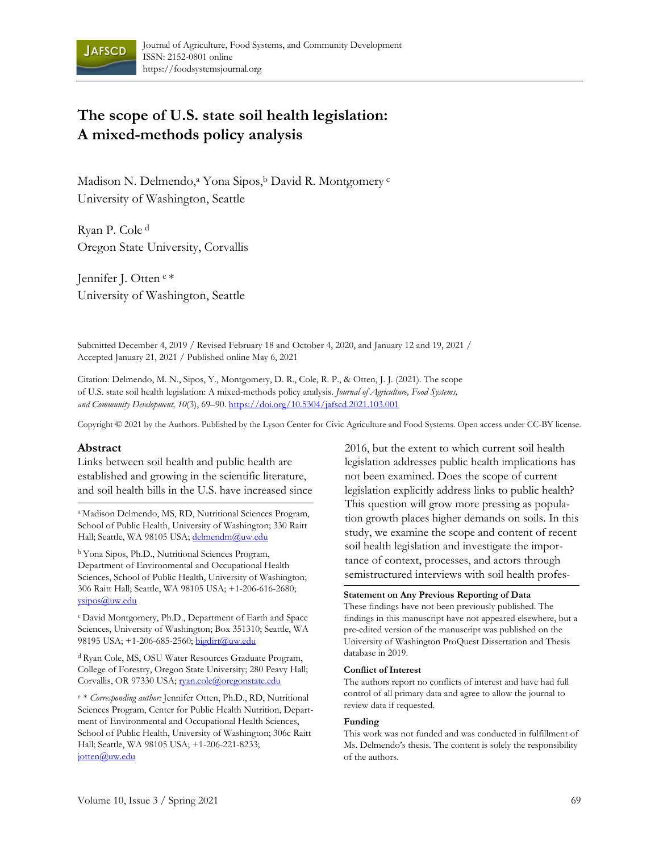

# **The scope of U.S. state soil health legislation: A mixed-methods policy analysis**

Madison N. Delmendo,<sup>a</sup> Yona Sipos,<sup>b</sup> David R. Montgomery<sup>c</sup> University of Washington, Seattle

Ryan P. Cole d Oregon State University, Corvallis

Jennifer J. Otten e \* University of Washington, Seattle

Submitted December 4, 2019 / Revised February 18 and October 4, 2020, and January 12 and 19, 2021 / Accepted January 21, 2021 / Published online May 6, 2021

Citation: Delmendo, M. N., Sipos, Y., Montgomery, D. R., Cole, R. P., & Otten, J. J. (2021). The scope of U.S. state soil health legislation: A mixed-methods policy analysis. *Journal of Agriculture, Food Systems, and Community Development, 10*(3), 69–90. https://doi.org/10.5304/jafscd.2021.103.001

Copyright © 2021 by the Authors. Published by the Lyson Center for Civic Agriculture and Food Systems. Open access under CC-BY license.

#### **Abstract**

Links between soil health and public health are established and growing in the scientific literature, and soil health bills in the U.S. have increased since

a Madison Delmendo, MS, RD, Nutritional Sciences Program, School of Public Health, University of Washington; 330 Raitt Hall; Seattle, WA 98105 USA; delmendm@uw.edu

b Yona Sipos, Ph.D., Nutritional Sciences Program, Department of Environmental and Occupational Health Sciences, School of Public Health, University of Washington; 306 Raitt Hall; Seattle, WA 98105 USA; +1-206-616-2680; ysipos@uw.edu

c David Montgomery, Ph.D., Department of Earth and Space Sciences, University of Washington; Box 351310; Seattle, WA 98195 USA; +1-206-685-2560; bigdirt@uw.edu

d Ryan Cole, MS, OSU Water Resources Graduate Program, College of Forestry, Oregon State University; 280 Peavy Hall; Corvallis, OR 97330 USA; ryan.cole@oregonstate.edu

<sup>e</sup> \* *Corresponding author:* Jennifer Otten, Ph.D., RD, Nutritional Sciences Program, Center for Public Health Nutrition, Department of Environmental and Occupational Health Sciences, School of Public Health, University of Washington; 306c Raitt Hall; Seattle, WA 98105 USA; +1-206-221-8233; jotten@uw.edu

2016, but the extent to which current soil health legislation addresses public health implications has not been examined. Does the scope of current legislation explicitly address links to public health? This question will grow more pressing as population growth places higher demands on soils. In this study, we examine the scope and content of recent soil health legislation and investigate the importance of context, processes, and actors through semistructured interviews with soil health profes-

#### **Statement on Any Previous Reporting of Data**

These findings have not been previously published. The findings in this manuscript have not appeared elsewhere, but a pre-edited version of the manuscript was published on the University of Washington ProQuest Dissertation and Thesis database in 2019.

#### **Conflict of Interest**

The authors report no conflicts of interest and have had full control of all primary data and agree to allow the journal to review data if requested.

#### **Funding**

This work was not funded and was conducted in fulfillment of Ms. Delmendo's thesis. The content is solely the responsibility of the authors.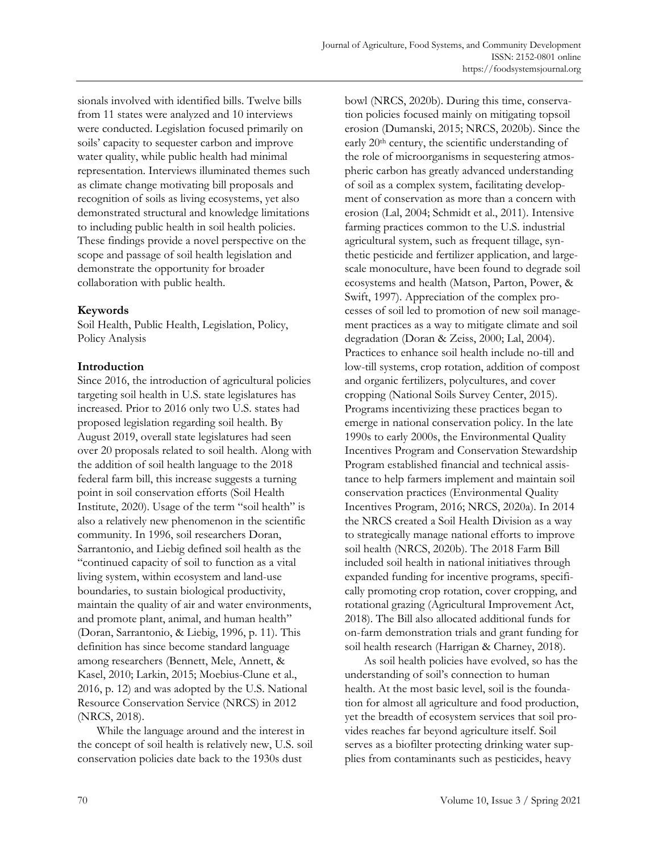sionals involved with identified bills. Twelve bills from 11 states were analyzed and 10 interviews were conducted. Legislation focused primarily on soils' capacity to sequester carbon and improve water quality, while public health had minimal representation. Interviews illuminated themes such as climate change motivating bill proposals and recognition of soils as living ecosystems, yet also demonstrated structural and knowledge limitations to including public health in soil health policies. These findings provide a novel perspective on the scope and passage of soil health legislation and demonstrate the opportunity for broader collaboration with public health.

# **Keywords**

Soil Health, Public Health, Legislation, Policy, Policy Analysis

# **Introduction**

Since 2016, the introduction of agricultural policies targeting soil health in U.S. state legislatures has increased. Prior to 2016 only two U.S. states had proposed legislation regarding soil health. By August 2019, overall state legislatures had seen over 20 proposals related to soil health. Along with the addition of soil health language to the 2018 federal farm bill, this increase suggests a turning point in soil conservation efforts (Soil Health Institute, 2020). Usage of the term "soil health" is also a relatively new phenomenon in the scientific community. In 1996, soil researchers Doran, Sarrantonio, and Liebig defined soil health as the "continued capacity of soil to function as a vital living system, within ecosystem and land-use boundaries, to sustain biological productivity, maintain the quality of air and water environments, and promote plant, animal, and human health" (Doran, Sarrantonio, & Liebig, 1996, p. 11). This definition has since become standard language among researchers (Bennett, Mele, Annett, & Kasel, 2010; Larkin, 2015; Moebius-Clune et al., 2016, p. 12) and was adopted by the U.S. National Resource Conservation Service (NRCS) in 2012 (NRCS, 2018).

 While the language around and the interest in the concept of soil health is relatively new, U.S. soil conservation policies date back to the 1930s dust

bowl (NRCS, 2020b). During this time, conservation policies focused mainly on mitigating topsoil erosion (Dumanski, 2015; NRCS, 2020b). Since the early 20th century, the scientific understanding of the role of microorganisms in sequestering atmospheric carbon has greatly advanced understanding of soil as a complex system, facilitating development of conservation as more than a concern with erosion (Lal, 2004; Schmidt et al., 2011). Intensive farming practices common to the U.S. industrial agricultural system, such as frequent tillage, synthetic pesticide and fertilizer application, and largescale monoculture, have been found to degrade soil ecosystems and health (Matson, Parton, Power, & Swift, 1997). Appreciation of the complex processes of soil led to promotion of new soil management practices as a way to mitigate climate and soil degradation (Doran & Zeiss, 2000; Lal, 2004). Practices to enhance soil health include no-till and low-till systems, crop rotation, addition of compost and organic fertilizers, polycultures, and cover cropping (National Soils Survey Center, 2015). Programs incentivizing these practices began to emerge in national conservation policy. In the late 1990s to early 2000s, the Environmental Quality Incentives Program and Conservation Stewardship Program established financial and technical assistance to help farmers implement and maintain soil conservation practices (Environmental Quality Incentives Program, 2016; NRCS, 2020a). In 2014 the NRCS created a Soil Health Division as a way to strategically manage national efforts to improve soil health (NRCS, 2020b). The 2018 Farm Bill included soil health in national initiatives through expanded funding for incentive programs, specifically promoting crop rotation, cover cropping, and rotational grazing (Agricultural Improvement Act, 2018). The Bill also allocated additional funds for on-farm demonstration trials and grant funding for soil health research (Harrigan & Charney, 2018).

 As soil health policies have evolved, so has the understanding of soil's connection to human health. At the most basic level, soil is the foundation for almost all agriculture and food production, yet the breadth of ecosystem services that soil provides reaches far beyond agriculture itself. Soil serves as a biofilter protecting drinking water supplies from contaminants such as pesticides, heavy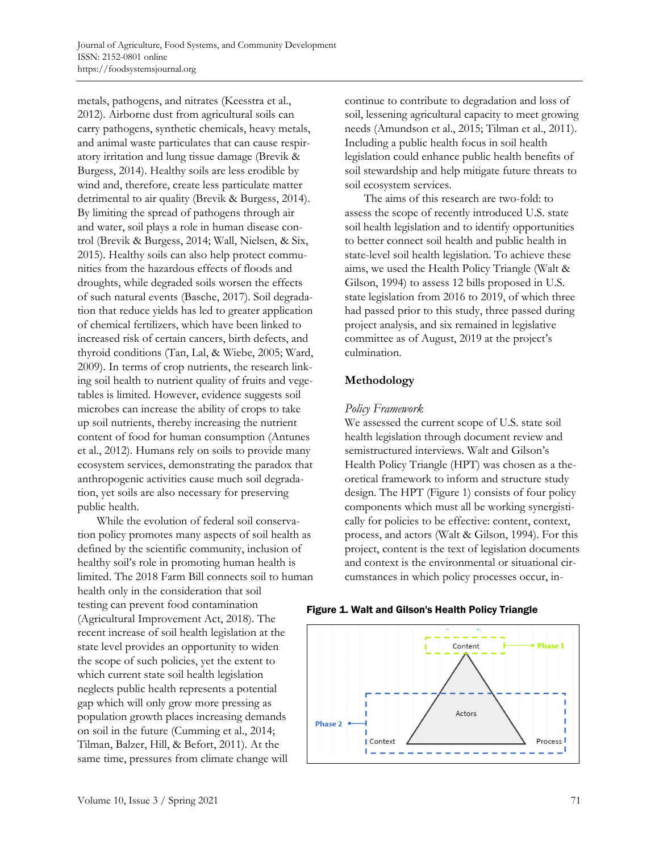metals, pathogens, and nitrates (Keesstra et al., 2012). Airborne dust from agricultural soils can carry pathogens, synthetic chemicals, heavy metals, and animal waste particulates that can cause respiratory irritation and lung tissue damage (Brevik & Burgess, 2014). Healthy soils are less erodible by wind and, therefore, create less particulate matter detrimental to air quality (Brevik & Burgess, 2014). By limiting the spread of pathogens through air and water, soil plays a role in human disease control (Brevik & Burgess, 2014; Wall, Nielsen, & Six, 2015). Healthy soils can also help protect communities from the hazardous effects of floods and droughts, while degraded soils worsen the effects of such natural events (Basche, 2017). Soil degradation that reduce yields has led to greater application of chemical fertilizers, which have been linked to increased risk of certain cancers, birth defects, and thyroid conditions (Tan, Lal, & Wiebe, 2005; Ward, 2009). In terms of crop nutrients, the research linking soil health to nutrient quality of fruits and vegetables is limited. However, evidence suggests soil microbes can increase the ability of crops to take up soil nutrients, thereby increasing the nutrient content of food for human consumption (Antunes et al., 2012). Humans rely on soils to provide many ecosystem services, demonstrating the paradox that anthropogenic activities cause much soil degradation, yet soils are also necessary for preserving public health.

 While the evolution of federal soil conservation policy promotes many aspects of soil health as defined by the scientific community, inclusion of healthy soil's role in promoting human health is limited. The 2018 Farm Bill connects soil to human health only in the consideration that soil testing can prevent food contamination (Agricultural Improvement Act, 2018). The recent increase of soil health legislation at the state level provides an opportunity to widen the scope of such policies, yet the extent to which current state soil health legislation neglects public health represents a potential gap which will only grow more pressing as population growth places increasing demands on soil in the future (Cumming et al., 2014; Tilman, Balzer, Hill, & Befort, 2011). At the same time, pressures from climate change will

continue to contribute to degradation and loss of soil, lessening agricultural capacity to meet growing needs (Amundson et al., 2015; Tilman et al., 2011). Including a public health focus in soil health legislation could enhance public health benefits of soil stewardship and help mitigate future threats to soil ecosystem services.

 The aims of this research are two-fold: to assess the scope of recently introduced U.S. state soil health legislation and to identify opportunities to better connect soil health and public health in state-level soil health legislation. To achieve these aims, we used the Health Policy Triangle (Walt & Gilson, 1994) to assess 12 bills proposed in U.S. state legislation from 2016 to 2019, of which three had passed prior to this study, three passed during project analysis, and six remained in legislative committee as of August, 2019 at the project's culmination.

# **Methodology**

### *Policy Framework*

We assessed the current scope of U.S. state soil health legislation through document review and semistructured interviews. Walt and Gilson's Health Policy Triangle (HPT) was chosen as a theoretical framework to inform and structure study design. The HPT (Figure 1) consists of four policy components which must all be working synergistically for policies to be effective: content, context, process, and actors (Walt & Gilson, 1994). For this project, content is the text of legislation documents and context is the environmental or situational circumstances in which policy processes occur, in-

#### Figure 1. Walt and Gilson's Health Policy Triangle

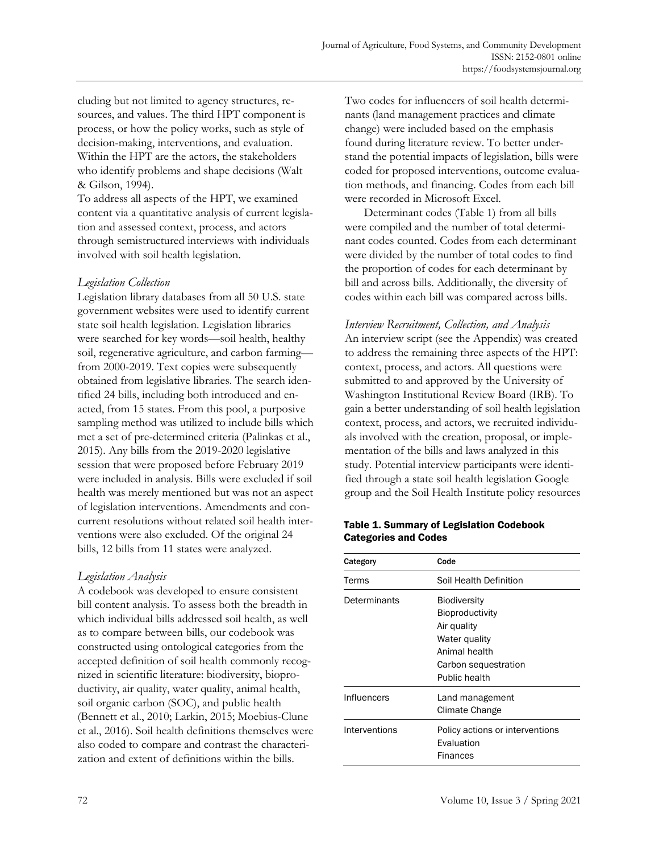cluding but not limited to agency structures, resources, and values. The third HPT component is process, or how the policy works, such as style of decision-making, interventions, and evaluation. Within the HPT are the actors, the stakeholders who identify problems and shape decisions (Walt & Gilson, 1994).

To address all aspects of the HPT, we examined content via a quantitative analysis of current legislation and assessed context, process, and actors through semistructured interviews with individuals involved with soil health legislation.

### *Legislation Collection*

Legislation library databases from all 50 U.S. state government websites were used to identify current state soil health legislation. Legislation libraries were searched for key words—soil health, healthy soil, regenerative agriculture, and carbon farming from 2000-2019. Text copies were subsequently obtained from legislative libraries. The search identified 24 bills, including both introduced and enacted, from 15 states. From this pool, a purposive sampling method was utilized to include bills which met a set of pre-determined criteria (Palinkas et al., 2015). Any bills from the 2019-2020 legislative session that were proposed before February 2019 were included in analysis. Bills were excluded if soil health was merely mentioned but was not an aspect of legislation interventions. Amendments and concurrent resolutions without related soil health interventions were also excluded. Of the original 24 bills, 12 bills from 11 states were analyzed.

# *Legislation Analysis*

A codebook was developed to ensure consistent bill content analysis. To assess both the breadth in which individual bills addressed soil health, as well as to compare between bills, our codebook was constructed using ontological categories from the accepted definition of soil health commonly recognized in scientific literature: biodiversity, bioproductivity, air quality, water quality, animal health, soil organic carbon (SOC), and public health (Bennett et al., 2010; Larkin, 2015; Moebius-Clune et al., 2016). Soil health definitions themselves were also coded to compare and contrast the characterization and extent of definitions within the bills.

Two codes for influencers of soil health determinants (land management practices and climate change) were included based on the emphasis found during literature review. To better understand the potential impacts of legislation, bills were coded for proposed interventions, outcome evaluation methods, and financing. Codes from each bill were recorded in Microsoft Excel.

 Determinant codes (Table 1) from all bills were compiled and the number of total determinant codes counted. Codes from each determinant were divided by the number of total codes to find the proportion of codes for each determinant by bill and across bills. Additionally, the diversity of codes within each bill was compared across bills.

*Interview Recruitment, Collection, and Analysis*  An interview script (see the Appendix) was created to address the remaining three aspects of the HPT: context, process, and actors. All questions were submitted to and approved by the University of Washington Institutional Review Board (IRB). To gain a better understanding of soil health legislation context, process, and actors, we recruited individuals involved with the creation, proposal, or implementation of the bills and laws analyzed in this study. Potential interview participants were identified through a state soil health legislation Google group and the Soil Health Institute policy resources

### Table 1. Summary of Legislation Codebook Categories and Codes

| Category      | Code                                                                                                                             |
|---------------|----------------------------------------------------------------------------------------------------------------------------------|
| Terms         | Soil Health Definition                                                                                                           |
| Determinants  | <b>Biodiversity</b><br>Bioproductivity<br>Air quality<br>Water quality<br>Animal health<br>Carbon sequestration<br>Public health |
| Influencers   | Land management<br>Climate Change                                                                                                |
| Interventions | Policy actions or interventions<br>Evaluation<br>Finances                                                                        |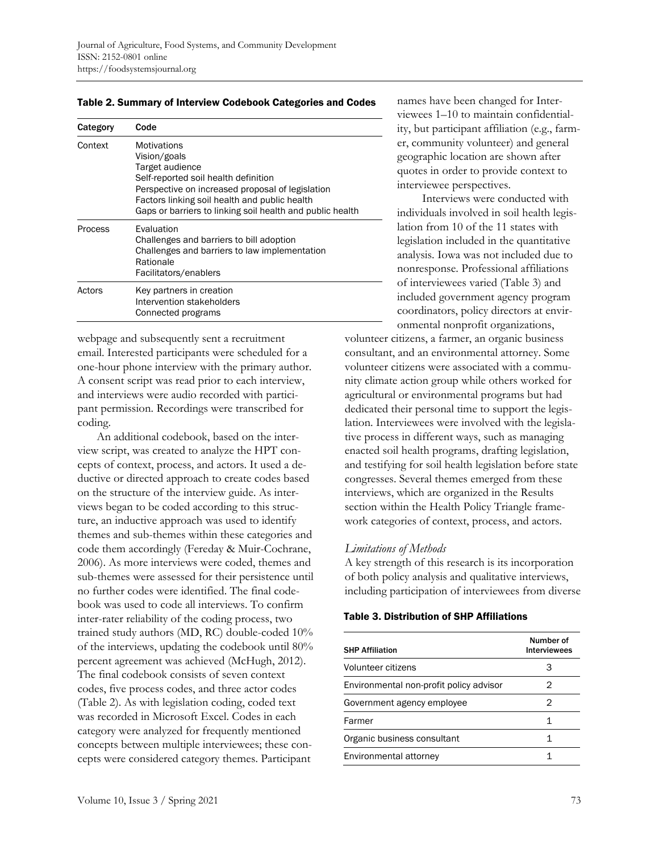| Category | Code                                                                                                                                                                                                                                                            |
|----------|-----------------------------------------------------------------------------------------------------------------------------------------------------------------------------------------------------------------------------------------------------------------|
| Context  | <b>Motivations</b><br>Vision/goals<br>Target audience<br>Self-reported soil health definition<br>Perspective on increased proposal of legislation<br>Factors linking soil health and public health<br>Gaps or barriers to linking soil health and public health |
| Process  | Evaluation<br>Challenges and barriers to bill adoption<br>Challenges and barriers to law implementation<br>Rationale<br>Facilitators/enablers                                                                                                                   |
| Actors   | Key partners in creation<br>Intervention stakeholders<br>Connected programs                                                                                                                                                                                     |

Table 2. Summary of Interview Codebook Categories and Codes

webpage and subsequently sent a recruitment email. Interested participants were scheduled for a one-hour phone interview with the primary author. A consent script was read prior to each interview, and interviews were audio recorded with participant permission. Recordings were transcribed for coding.

 An additional codebook, based on the interview script, was created to analyze the HPT concepts of context, process, and actors. It used a deductive or directed approach to create codes based on the structure of the interview guide. As interviews began to be coded according to this structure, an inductive approach was used to identify themes and sub-themes within these categories and code them accordingly (Fereday & Muir-Cochrane, 2006). As more interviews were coded, themes and sub-themes were assessed for their persistence until no further codes were identified. The final codebook was used to code all interviews. To confirm inter-rater reliability of the coding process, two trained study authors (MD, RC) double-coded 10% of the interviews, updating the codebook until 80% percent agreement was achieved (McHugh, 2012). The final codebook consists of seven context codes, five process codes, and three actor codes (Table 2). As with legislation coding, coded text was recorded in Microsoft Excel. Codes in each category were analyzed for frequently mentioned concepts between multiple interviewees; these concepts were considered category themes. Participant

names have been changed for Interviewees 1–10 to maintain confidentiality, but participant affiliation (e.g., farmer, community volunteer) and general geographic location are shown after quotes in order to provide context to interviewee perspectives.

 Interviews were conducted with individuals involved in soil health legislation from 10 of the 11 states with legislation included in the quantitative analysis. Iowa was not included due to nonresponse. Professional affiliations of interviewees varied (Table 3) and included government agency program coordinators, policy directors at environmental nonprofit organizations,

volunteer citizens, a farmer, an organic business consultant, and an environmental attorney. Some volunteer citizens were associated with a community climate action group while others worked for agricultural or environmental programs but had dedicated their personal time to support the legislation. Interviewees were involved with the legislative process in different ways, such as managing enacted soil health programs, drafting legislation, and testifying for soil health legislation before state congresses. Several themes emerged from these interviews, which are organized in the Results section within the Health Policy Triangle framework categories of context, process, and actors.

#### *Limitations of Methods*

A key strength of this research is its incorporation of both policy analysis and qualitative interviews, including participation of interviewees from diverse

Table 3. Distribution of SHP Affiliations

| <b>SHP Affiliation</b>                  | Number of<br><b>Interviewees</b> |
|-----------------------------------------|----------------------------------|
| Volunteer citizens                      |                                  |
| Environmental non-profit policy advisor | 2                                |
| Government agency employee              | 2                                |
| Farmer                                  | 1                                |
| Organic business consultant             | 1                                |
| Environmental attorney                  |                                  |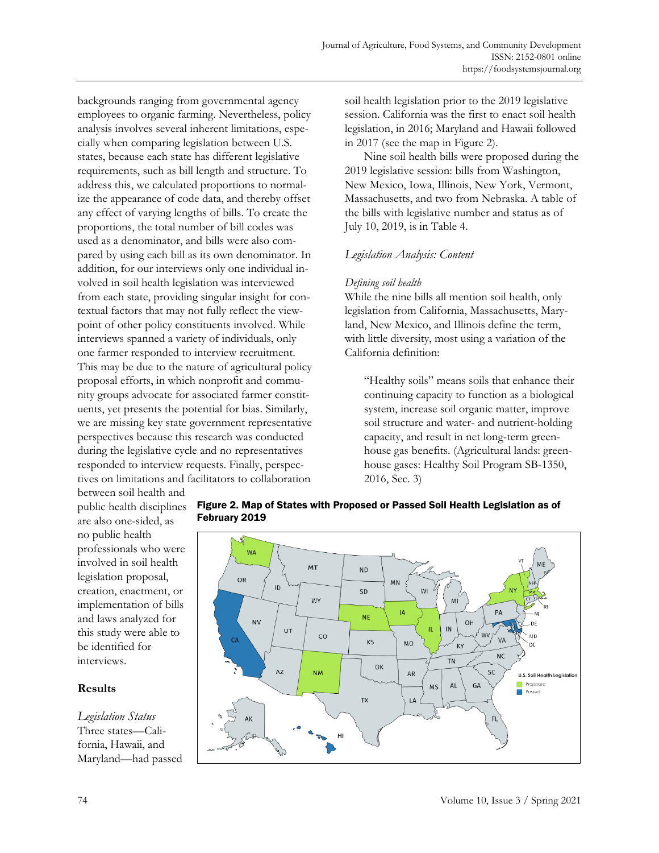backgrounds ranging from governmental agency employees to organic farming. Nevertheless, policy analysis involves several inherent limitations, especially when comparing legislation between U.S. states, because each state has different legislative requirements, such as bill length and structure. To address this, we calculated proportions to normalize the appearance of code data, and thereby offset any effect of varying lengths of bills. To create the proportions, the total number of bill codes was used as a denominator, and bills were also compared by using each bill as its own denominator. In addition, for our interviews only one individual involved in soil health legislation was interviewed from each state, providing singular insight for contextual factors that may not fully reflect the viewpoint of other policy constituents involved. While interviews spanned a variety of individuals, only one farmer responded to interview recruitment. This may be due to the nature of agricultural policy proposal efforts, in which nonprofit and community groups advocate for associated farmer constituents, yet presents the potential for bias. Similarly, we are missing key state government representative perspectives because this research was conducted during the legislative cycle and no representatives responded to interview requests. Finally, perspectives on limitations and facilitators to collaboration

soil health legislation prior to the 2019 legislative session. California was the first to enact soil health legislation, in 2016; Maryland and Hawaii followed in 2017 (see the map in Figure 2).

 Nine soil health bills were proposed during the 2019 legislative session: bills from Washington, New Mexico, Iowa, Illinois, New York, Vermont, Massachusetts, and two from Nebraska. A table of the bills with legislative number and status as of July 10, 2019, is in Table 4.

# *Legislation Analysis: Content*

### *Defining soil health*

While the nine bills all mention soil health, only legislation from California, Massachusetts, Maryland, New Mexico, and Illinois define the term, with little diversity, most using a variation of the California definition:

"Healthy soils" means soils that enhance their continuing capacity to function as a biological system, increase soil organic matter, improve soil structure and water- and nutrient-holding capacity, and result in net long-term greenhouse gas benefits. (Agricultural lands: greenhouse gases: Healthy Soil Program SB-1350, 2016, Sec. 3)

between soil health and public health disciplines are also one-sided, as no public health professionals who were involved in soil health legislation proposal, creation, enactment, or implementation of bills and laws analyzed for this study were able to be identified for interviews.

### **Results**

*Legislation Status*  Three states—California, Hawaii, and Maryland—had passed



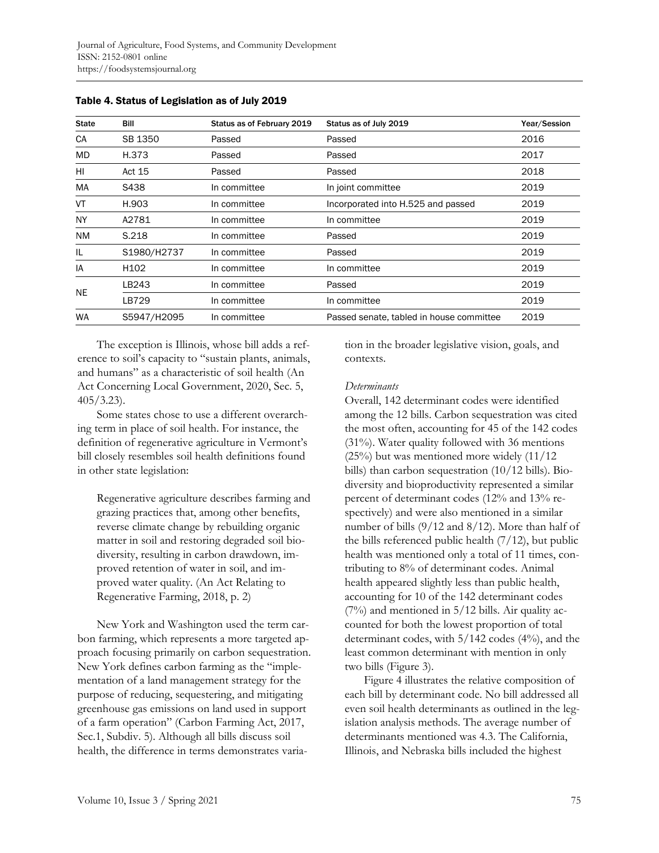| <b>State</b> | Bill             | Status as of February 2019 | Status as of July 2019                   | Year/Session |
|--------------|------------------|----------------------------|------------------------------------------|--------------|
| CA           | SB 1350          | Passed                     | Passed                                   | 2016         |
| MD.          | H.373            | Passed                     | Passed                                   | 2017         |
| HI           | Act 15           | Passed                     | Passed                                   | 2018         |
| MA           | S438             | In committee               | In joint committee                       | 2019         |
| VT           | H.903            | In committee               | Incorporated into H.525 and passed       | 2019         |
| <b>NY</b>    | A2781            | In committee               | In committee                             | 2019         |
| <b>NM</b>    | S.218            | In committee               | Passed                                   | 2019         |
| IL           | S1980/H2737      | In committee               | Passed                                   | 2019         |
| IA           | H <sub>102</sub> | In committee               | In committee                             | 2019         |
| <b>NE</b>    | LB243            | In committee               | Passed                                   | 2019         |
|              | LB729            | In committee               | In committee                             | 2019         |
| <b>WA</b>    | S5947/H2095      | In committee               | Passed senate, tabled in house committee | 2019         |

Table 4. Status of Legislation as of July 2019

 The exception is Illinois, whose bill adds a reference to soil's capacity to "sustain plants, animals, and humans" as a characteristic of soil health (An Act Concerning Local Government, 2020, Sec. 5,  $405/3.23$ ).

 Some states chose to use a different overarching term in place of soil health. For instance, the definition of regenerative agriculture in Vermont's bill closely resembles soil health definitions found in other state legislation:

Regenerative agriculture describes farming and grazing practices that, among other benefits, reverse climate change by rebuilding organic matter in soil and restoring degraded soil biodiversity, resulting in carbon drawdown, improved retention of water in soil, and improved water quality. (An Act Relating to Regenerative Farming, 2018, p. 2)

 New York and Washington used the term carbon farming, which represents a more targeted approach focusing primarily on carbon sequestration. New York defines carbon farming as the "implementation of a land management strategy for the purpose of reducing, sequestering, and mitigating greenhouse gas emissions on land used in support of a farm operation" (Carbon Farming Act, 2017, Sec.1, Subdiv. 5). Although all bills discuss soil health, the difference in terms demonstrates variation in the broader legislative vision, goals, and contexts.

#### *Determinants*

Overall, 142 determinant codes were identified among the 12 bills. Carbon sequestration was cited the most often, accounting for 45 of the 142 codes (31%). Water quality followed with 36 mentions (25%) but was mentioned more widely (11/12 bills) than carbon sequestration (10/12 bills). Biodiversity and bioproductivity represented a similar percent of determinant codes (12% and 13% respectively) and were also mentioned in a similar number of bills (9/12 and 8/12). More than half of the bills referenced public health (7/12), but public health was mentioned only a total of 11 times, contributing to 8% of determinant codes. Animal health appeared slightly less than public health, accounting for 10 of the 142 determinant codes  $(7%)$  and mentioned in  $5/12$  bills. Air quality accounted for both the lowest proportion of total determinant codes, with 5/142 codes (4%), and the least common determinant with mention in only two bills (Figure 3).

 Figure 4 illustrates the relative composition of each bill by determinant code. No bill addressed all even soil health determinants as outlined in the legislation analysis methods. The average number of determinants mentioned was 4.3. The California, Illinois, and Nebraska bills included the highest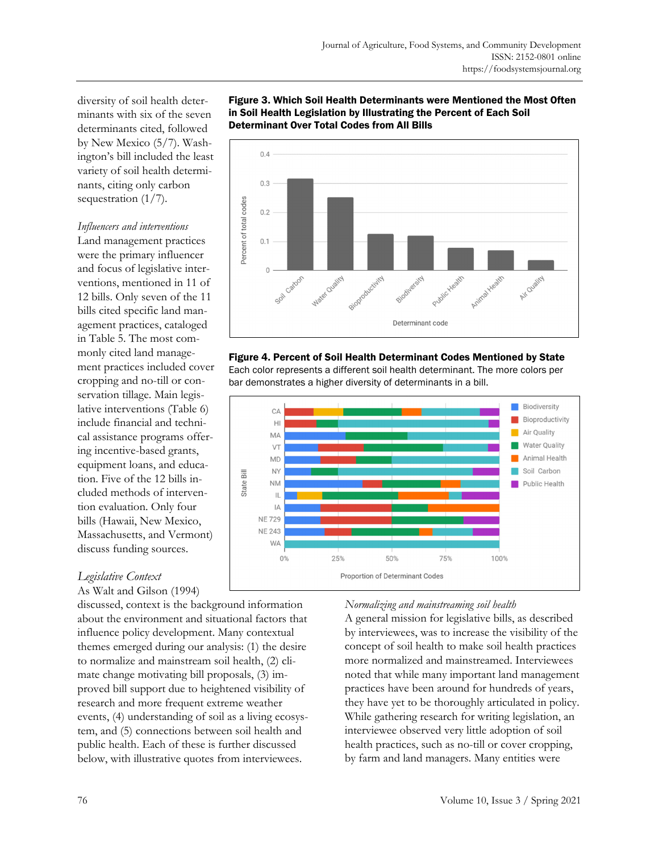diversity of soil health determinants with six of the seven determinants cited, followed by New Mexico (5/7). Washington's bill included the least variety of soil health determinants, citing only carbon sequestration (1/7).

### *Influencers and interventions*

Land management practices were the primary influencer and focus of legislative interventions, mentioned in 11 of 12 bills. Only seven of the 11 bills cited specific land management practices, cataloged in Table 5. The most commonly cited land management practices included cover cropping and no-till or conservation tillage. Main legislative interventions (Table 6) include financial and technical assistance programs offering incentive-based grants, equipment loans, and education. Five of the 12 bills included methods of intervention evaluation. Only four bills (Hawaii, New Mexico, Massachusetts, and Vermont) discuss funding sources.

# *Legislative Context*

As Walt and Gilson (1994)

discussed, context is the background information about the environment and situational factors that influence policy development. Many contextual themes emerged during our analysis: (1) the desire to normalize and mainstream soil health, (2) climate change motivating bill proposals, (3) improved bill support due to heightened visibility of research and more frequent extreme weather events, (4) understanding of soil as a living ecosystem, and (5) connections between soil health and public health. Each of these is further discussed below, with illustrative quotes from interviewees.





# Figure 4. Percent of Soil Health Determinant Codes Mentioned by State

Each color represents a different soil health determinant. The more colors per bar demonstrates a higher diversity of determinants in a bill.



# *Normalizing and mainstreaming soil health*

A general mission for legislative bills, as described by interviewees, was to increase the visibility of the concept of soil health to make soil health practices more normalized and mainstreamed. Interviewees noted that while many important land management practices have been around for hundreds of years, they have yet to be thoroughly articulated in policy. While gathering research for writing legislation, an interviewee observed very little adoption of soil health practices, such as no-till or cover cropping, by farm and land managers. Many entities were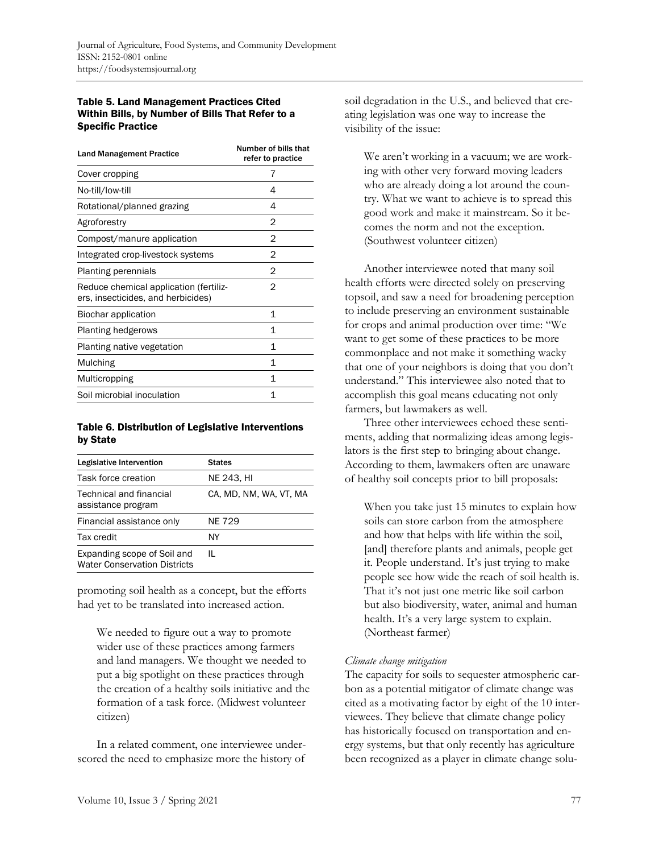#### Table 5. Land Management Practices Cited Within Bills, by Number of Bills That Refer to a Specific Practice

| <b>Land Management Practice</b>                                              | Number of bills that<br>refer to practice |
|------------------------------------------------------------------------------|-------------------------------------------|
| Cover cropping                                                               | 7                                         |
| No-till/low-till                                                             | 4                                         |
| Rotational/planned grazing                                                   | 4                                         |
| Agroforestry                                                                 | 2                                         |
| Compost/manure application                                                   | 2                                         |
| Integrated crop-livestock systems                                            | 2                                         |
| Planting perennials                                                          | 2                                         |
| Reduce chemical application (fertiliz-<br>ers, insecticides, and herbicides) | 2                                         |
| Biochar application                                                          | 1                                         |
| <b>Planting hedgerows</b>                                                    | 1                                         |
| Planting native vegetation                                                   | 1                                         |
| Mulching                                                                     | 1                                         |
| Multicropping                                                                | 1                                         |
| Soil microbial inoculation                                                   | 1                                         |

#### Table 6. Distribution of Legislative Interventions by State

| Legislative Intervention                                           | <b>States</b>          |
|--------------------------------------------------------------------|------------------------|
| Task force creation                                                | NE 243, HI             |
| Technical and financial<br>assistance program                      | CA, MD, NM, WA, VT, MA |
| Financial assistance only                                          | NE 729                 |
| Tax credit                                                         | ΝY                     |
| Expanding scope of Soil and<br><b>Water Conservation Districts</b> | Ш.                     |

promoting soil health as a concept, but the efforts had yet to be translated into increased action.

We needed to figure out a way to promote wider use of these practices among farmers and land managers. We thought we needed to put a big spotlight on these practices through the creation of a healthy soils initiative and the formation of a task force. (Midwest volunteer citizen)

 In a related comment, one interviewee underscored the need to emphasize more the history of soil degradation in the U.S., and believed that creating legislation was one way to increase the visibility of the issue:

We aren't working in a vacuum; we are working with other very forward moving leaders who are already doing a lot around the country. What we want to achieve is to spread this good work and make it mainstream. So it becomes the norm and not the exception. (Southwest volunteer citizen)

 Another interviewee noted that many soil health efforts were directed solely on preserving topsoil, and saw a need for broadening perception to include preserving an environment sustainable for crops and animal production over time: "We want to get some of these practices to be more commonplace and not make it something wacky that one of your neighbors is doing that you don't understand." This interviewee also noted that to accomplish this goal means educating not only farmers, but lawmakers as well.

 Three other interviewees echoed these sentiments, adding that normalizing ideas among legislators is the first step to bringing about change. According to them, lawmakers often are unaware of healthy soil concepts prior to bill proposals:

When you take just 15 minutes to explain how soils can store carbon from the atmosphere and how that helps with life within the soil, [and] therefore plants and animals, people get it. People understand. It's just trying to make people see how wide the reach of soil health is. That it's not just one metric like soil carbon but also biodiversity, water, animal and human health. It's a very large system to explain. (Northeast farmer)

### *Climate change mitigation*

The capacity for soils to sequester atmospheric carbon as a potential mitigator of climate change was cited as a motivating factor by eight of the 10 interviewees. They believe that climate change policy has historically focused on transportation and energy systems, but that only recently has agriculture been recognized as a player in climate change solu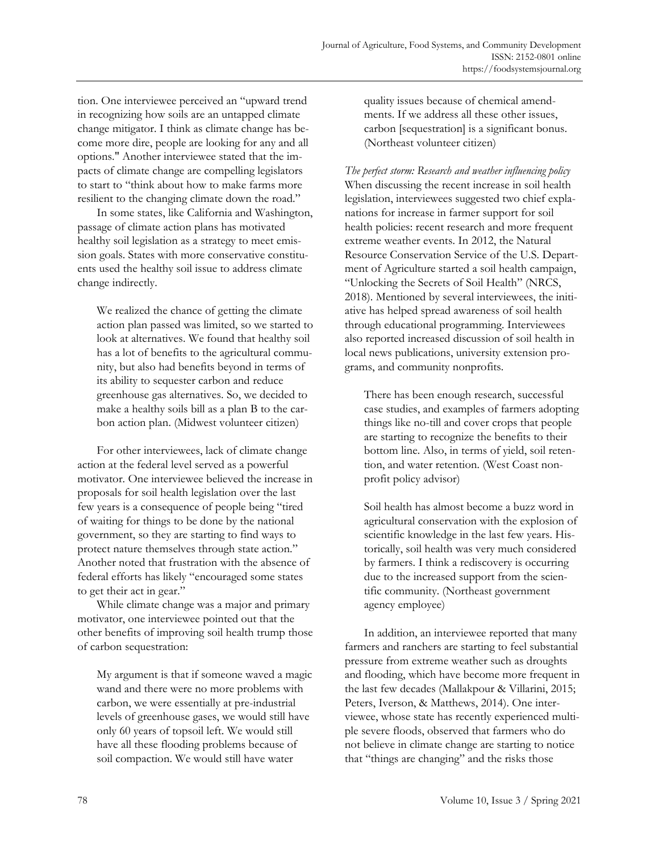tion. One interviewee perceived an "upward trend in recognizing how soils are an untapped climate change mitigator. I think as climate change has become more dire, people are looking for any and all options." Another interviewee stated that the impacts of climate change are compelling legislators to start to "think about how to make farms more resilient to the changing climate down the road."

 In some states, like California and Washington, passage of climate action plans has motivated healthy soil legislation as a strategy to meet emission goals. States with more conservative constituents used the healthy soil issue to address climate change indirectly.

We realized the chance of getting the climate action plan passed was limited, so we started to look at alternatives. We found that healthy soil has a lot of benefits to the agricultural community, but also had benefits beyond in terms of its ability to sequester carbon and reduce greenhouse gas alternatives. So, we decided to make a healthy soils bill as a plan B to the carbon action plan. (Midwest volunteer citizen)

 For other interviewees, lack of climate change action at the federal level served as a powerful motivator. One interviewee believed the increase in proposals for soil health legislation over the last few years is a consequence of people being "tired of waiting for things to be done by the national government, so they are starting to find ways to protect nature themselves through state action." Another noted that frustration with the absence of federal efforts has likely "encouraged some states to get their act in gear."

While climate change was a major and primary motivator, one interviewee pointed out that the other benefits of improving soil health trump those of carbon sequestration:

My argument is that if someone waved a magic wand and there were no more problems with carbon, we were essentially at pre-industrial levels of greenhouse gases, we would still have only 60 years of topsoil left. We would still have all these flooding problems because of soil compaction. We would still have water

quality issues because of chemical amendments. If we address all these other issues, carbon [sequestration] is a significant bonus. (Northeast volunteer citizen)

*The perfect storm: Research and weather influencing policy*  When discussing the recent increase in soil health legislation, interviewees suggested two chief explanations for increase in farmer support for soil health policies: recent research and more frequent extreme weather events. In 2012, the Natural Resource Conservation Service of the U.S. Department of Agriculture started a soil health campaign, "Unlocking the Secrets of Soil Health" (NRCS, 2018). Mentioned by several interviewees, the initiative has helped spread awareness of soil health through educational programming. Interviewees also reported increased discussion of soil health in local news publications, university extension programs, and community nonprofits.

There has been enough research, successful case studies, and examples of farmers adopting things like no-till and cover crops that people are starting to recognize the benefits to their bottom line. Also, in terms of yield, soil retention, and water retention. (West Coast nonprofit policy advisor)

Soil health has almost become a buzz word in agricultural conservation with the explosion of scientific knowledge in the last few years. Historically, soil health was very much considered by farmers. I think a rediscovery is occurring due to the increased support from the scientific community. (Northeast government agency employee)

 In addition, an interviewee reported that many farmers and ranchers are starting to feel substantial pressure from extreme weather such as droughts and flooding, which have become more frequent in the last few decades (Mallakpour & Villarini, 2015; Peters, Iverson, & Matthews, 2014). One interviewee, whose state has recently experienced multiple severe floods, observed that farmers who do not believe in climate change are starting to notice that "things are changing" and the risks those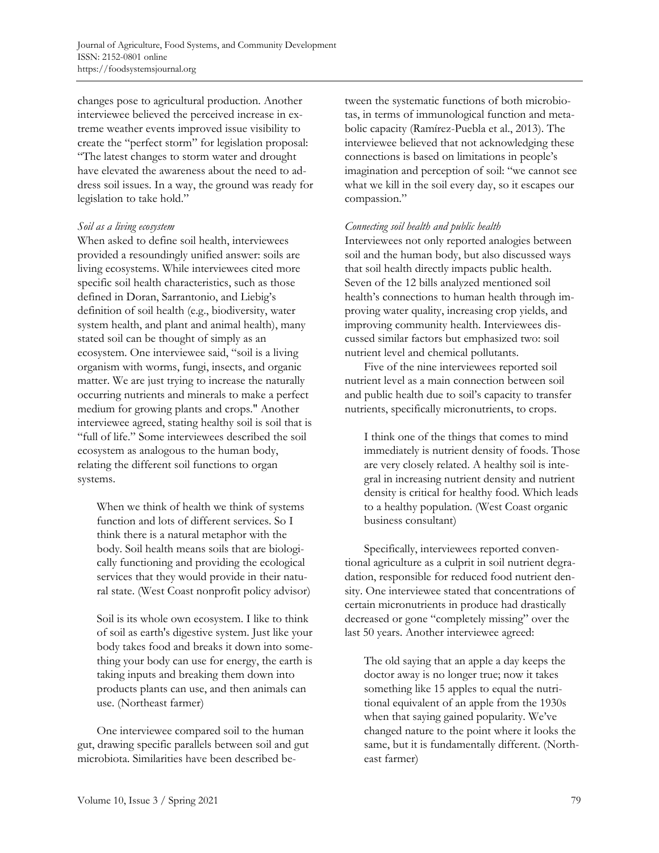changes pose to agricultural production. Another interviewee believed the perceived increase in extreme weather events improved issue visibility to create the "perfect storm" for legislation proposal: "The latest changes to storm water and drought have elevated the awareness about the need to address soil issues. In a way, the ground was ready for legislation to take hold."

### *Soil as a living ecosystem*

When asked to define soil health, interviewees provided a resoundingly unified answer: soils are living ecosystems. While interviewees cited more specific soil health characteristics, such as those defined in Doran, Sarrantonio, and Liebig's definition of soil health (e.g., biodiversity, water system health, and plant and animal health), many stated soil can be thought of simply as an ecosystem. One interviewee said, "soil is a living organism with worms, fungi, insects, and organic matter. We are just trying to increase the naturally occurring nutrients and minerals to make a perfect medium for growing plants and crops." Another interviewee agreed, stating healthy soil is soil that is "full of life." Some interviewees described the soil ecosystem as analogous to the human body, relating the different soil functions to organ systems.

When we think of health we think of systems function and lots of different services. So I think there is a natural metaphor with the body. Soil health means soils that are biologically functioning and providing the ecological services that they would provide in their natural state. (West Coast nonprofit policy advisor)

Soil is its whole own ecosystem. I like to think of soil as earth's digestive system. Just like your body takes food and breaks it down into something your body can use for energy, the earth is taking inputs and breaking them down into products plants can use, and then animals can use. (Northeast farmer)

 One interviewee compared soil to the human gut, drawing specific parallels between soil and gut microbiota. Similarities have been described between the systematic functions of both microbiotas, in terms of immunological function and metabolic capacity (Ramírez-Puebla et al., 2013). The interviewee believed that not acknowledging these connections is based on limitations in people's imagination and perception of soil: "we cannot see what we kill in the soil every day, so it escapes our compassion."

### *Connecting soil health and public health*

Interviewees not only reported analogies between soil and the human body, but also discussed ways that soil health directly impacts public health. Seven of the 12 bills analyzed mentioned soil health's connections to human health through improving water quality, increasing crop yields, and improving community health. Interviewees discussed similar factors but emphasized two: soil nutrient level and chemical pollutants.

 Five of the nine interviewees reported soil nutrient level as a main connection between soil and public health due to soil's capacity to transfer nutrients, specifically micronutrients, to crops.

I think one of the things that comes to mind immediately is nutrient density of foods. Those are very closely related. A healthy soil is integral in increasing nutrient density and nutrient density is critical for healthy food. Which leads to a healthy population. (West Coast organic business consultant)

 Specifically, interviewees reported conventional agriculture as a culprit in soil nutrient degradation, responsible for reduced food nutrient density. One interviewee stated that concentrations of certain micronutrients in produce had drastically decreased or gone "completely missing" over the last 50 years. Another interviewee agreed:

The old saying that an apple a day keeps the doctor away is no longer true; now it takes something like 15 apples to equal the nutritional equivalent of an apple from the 1930s when that saying gained popularity. We've changed nature to the point where it looks the same, but it is fundamentally different. (Northeast farmer)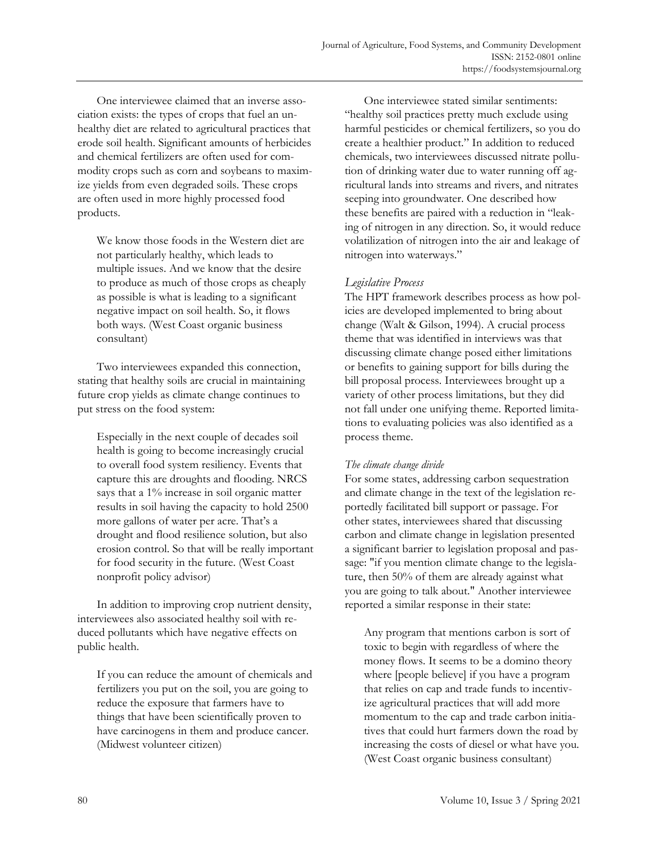One interviewee claimed that an inverse association exists: the types of crops that fuel an unhealthy diet are related to agricultural practices that erode soil health. Significant amounts of herbicides and chemical fertilizers are often used for commodity crops such as corn and soybeans to maximize yields from even degraded soils. These crops are often used in more highly processed food products.

We know those foods in the Western diet are not particularly healthy, which leads to multiple issues. And we know that the desire to produce as much of those crops as cheaply as possible is what is leading to a significant negative impact on soil health. So, it flows both ways. (West Coast organic business consultant)

 Two interviewees expanded this connection, stating that healthy soils are crucial in maintaining future crop yields as climate change continues to put stress on the food system:

Especially in the next couple of decades soil health is going to become increasingly crucial to overall food system resiliency. Events that capture this are droughts and flooding. NRCS says that a 1% increase in soil organic matter results in soil having the capacity to hold 2500 more gallons of water per acre. That's a drought and flood resilience solution, but also erosion control. So that will be really important for food security in the future. (West Coast nonprofit policy advisor)

 In addition to improving crop nutrient density, interviewees also associated healthy soil with reduced pollutants which have negative effects on public health.

If you can reduce the amount of chemicals and fertilizers you put on the soil, you are going to reduce the exposure that farmers have to things that have been scientifically proven to have carcinogens in them and produce cancer. (Midwest volunteer citizen)

 One interviewee stated similar sentiments: "healthy soil practices pretty much exclude using harmful pesticides or chemical fertilizers, so you do create a healthier product." In addition to reduced chemicals, two interviewees discussed nitrate pollution of drinking water due to water running off agricultural lands into streams and rivers, and nitrates seeping into groundwater. One described how these benefits are paired with a reduction in "leaking of nitrogen in any direction. So, it would reduce volatilization of nitrogen into the air and leakage of nitrogen into waterways."

# *Legislative Process*

The HPT framework describes process as how policies are developed implemented to bring about change (Walt & Gilson, 1994). A crucial process theme that was identified in interviews was that discussing climate change posed either limitations or benefits to gaining support for bills during the bill proposal process. Interviewees brought up a variety of other process limitations, but they did not fall under one unifying theme. Reported limitations to evaluating policies was also identified as a process theme.

### *The climate change divide*

For some states, addressing carbon sequestration and climate change in the text of the legislation reportedly facilitated bill support or passage. For other states, interviewees shared that discussing carbon and climate change in legislation presented a significant barrier to legislation proposal and passage: "if you mention climate change to the legislature, then 50% of them are already against what you are going to talk about." Another interviewee reported a similar response in their state:

Any program that mentions carbon is sort of toxic to begin with regardless of where the money flows. It seems to be a domino theory where [people believe] if you have a program that relies on cap and trade funds to incentivize agricultural practices that will add more momentum to the cap and trade carbon initiatives that could hurt farmers down the road by increasing the costs of diesel or what have you. (West Coast organic business consultant)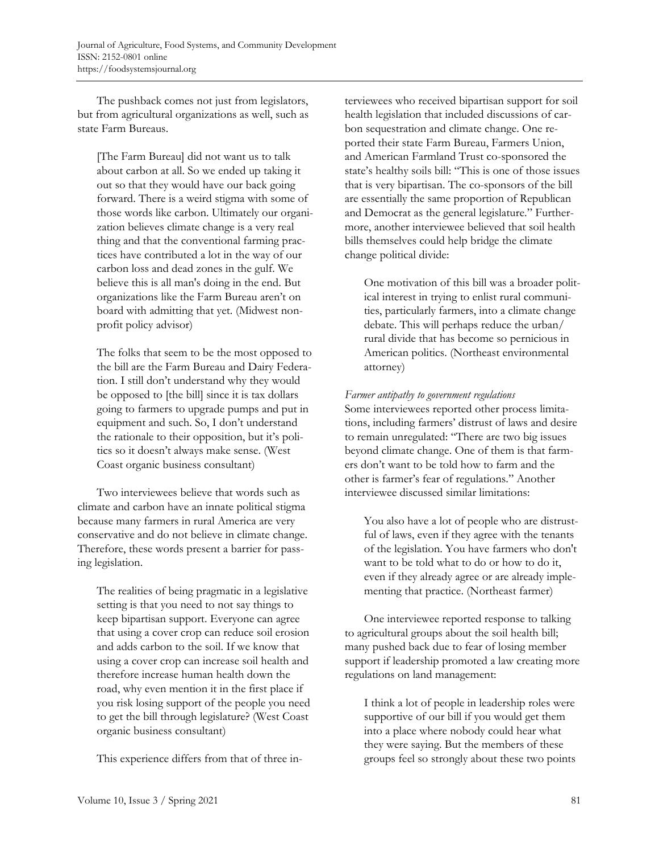The pushback comes not just from legislators, but from agricultural organizations as well, such as state Farm Bureaus.

[The Farm Bureau] did not want us to talk about carbon at all. So we ended up taking it out so that they would have our back going forward. There is a weird stigma with some of those words like carbon. Ultimately our organization believes climate change is a very real thing and that the conventional farming practices have contributed a lot in the way of our carbon loss and dead zones in the gulf. We believe this is all man's doing in the end. But organizations like the Farm Bureau aren't on board with admitting that yet. (Midwest nonprofit policy advisor)

The folks that seem to be the most opposed to the bill are the Farm Bureau and Dairy Federation. I still don't understand why they would be opposed to [the bill] since it is tax dollars going to farmers to upgrade pumps and put in equipment and such. So, I don't understand the rationale to their opposition, but it's politics so it doesn't always make sense. (West Coast organic business consultant)

 Two interviewees believe that words such as climate and carbon have an innate political stigma because many farmers in rural America are very conservative and do not believe in climate change. Therefore, these words present a barrier for passing legislation.

The realities of being pragmatic in a legislative setting is that you need to not say things to keep bipartisan support. Everyone can agree that using a cover crop can reduce soil erosion and adds carbon to the soil. If we know that using a cover crop can increase soil health and therefore increase human health down the road, why even mention it in the first place if you risk losing support of the people you need to get the bill through legislature? (West Coast organic business consultant)

This experience differs from that of three in-

terviewees who received bipartisan support for soil health legislation that included discussions of carbon sequestration and climate change. One reported their state Farm Bureau, Farmers Union, and American Farmland Trust co-sponsored the state's healthy soils bill: "This is one of those issues that is very bipartisan. The co-sponsors of the bill are essentially the same proportion of Republican and Democrat as the general legislature." Furthermore, another interviewee believed that soil health bills themselves could help bridge the climate change political divide:

One motivation of this bill was a broader political interest in trying to enlist rural communities, particularly farmers, into a climate change debate. This will perhaps reduce the urban/ rural divide that has become so pernicious in American politics. (Northeast environmental attorney)

### *Farmer antipathy to government regulations*

Some interviewees reported other process limitations, including farmers' distrust of laws and desire to remain unregulated: "There are two big issues beyond climate change. One of them is that farmers don't want to be told how to farm and the other is farmer's fear of regulations." Another interviewee discussed similar limitations:

You also have a lot of people who are distrustful of laws, even if they agree with the tenants of the legislation. You have farmers who don't want to be told what to do or how to do it, even if they already agree or are already implementing that practice. (Northeast farmer)

 One interviewee reported response to talking to agricultural groups about the soil health bill; many pushed back due to fear of losing member support if leadership promoted a law creating more regulations on land management:

I think a lot of people in leadership roles were supportive of our bill if you would get them into a place where nobody could hear what they were saying. But the members of these groups feel so strongly about these two points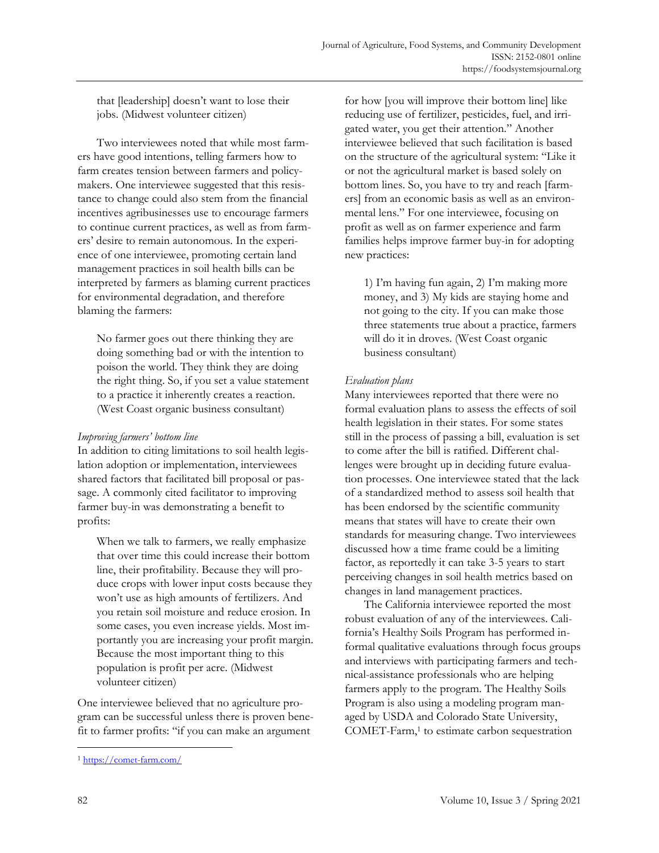that [leadership] doesn't want to lose their jobs. (Midwest volunteer citizen)

 Two interviewees noted that while most farmers have good intentions, telling farmers how to farm creates tension between farmers and policymakers. One interviewee suggested that this resistance to change could also stem from the financial incentives agribusinesses use to encourage farmers to continue current practices, as well as from farmers' desire to remain autonomous. In the experience of one interviewee, promoting certain land management practices in soil health bills can be interpreted by farmers as blaming current practices for environmental degradation, and therefore blaming the farmers:

No farmer goes out there thinking they are doing something bad or with the intention to poison the world. They think they are doing the right thing. So, if you set a value statement to a practice it inherently creates a reaction. (West Coast organic business consultant)

### *Improving farmers' bottom line*

In addition to citing limitations to soil health legislation adoption or implementation, interviewees shared factors that facilitated bill proposal or passage. A commonly cited facilitator to improving farmer buy-in was demonstrating a benefit to profits:

When we talk to farmers, we really emphasize that over time this could increase their bottom line, their profitability. Because they will produce crops with lower input costs because they won't use as high amounts of fertilizers. And you retain soil moisture and reduce erosion. In some cases, you even increase yields. Most importantly you are increasing your profit margin. Because the most important thing to this population is profit per acre. (Midwest volunteer citizen)

One interviewee believed that no agriculture program can be successful unless there is proven benefit to farmer profits: "if you can make an argument

for how [you will improve their bottom line] like reducing use of fertilizer, pesticides, fuel, and irrigated water, you get their attention." Another interviewee believed that such facilitation is based on the structure of the agricultural system: "Like it or not the agricultural market is based solely on bottom lines. So, you have to try and reach [farmers] from an economic basis as well as an environmental lens." For one interviewee, focusing on profit as well as on farmer experience and farm families helps improve farmer buy-in for adopting new practices:

1) I'm having fun again, 2) I'm making more money, and 3) My kids are staying home and not going to the city. If you can make those three statements true about a practice, farmers will do it in droves. (West Coast organic business consultant)

# *Evaluation plans*

Many interviewees reported that there were no formal evaluation plans to assess the effects of soil health legislation in their states. For some states still in the process of passing a bill, evaluation is set to come after the bill is ratified. Different challenges were brought up in deciding future evaluation processes. One interviewee stated that the lack of a standardized method to assess soil health that has been endorsed by the scientific community means that states will have to create their own standards for measuring change. Two interviewees discussed how a time frame could be a limiting factor, as reportedly it can take 3-5 years to start perceiving changes in soil health metrics based on changes in land management practices.

 The California interviewee reported the most robust evaluation of any of the interviewees. California's Healthy Soils Program has performed informal qualitative evaluations through focus groups and interviews with participating farmers and technical-assistance professionals who are helping farmers apply to the program. The Healthy Soils Program is also using a modeling program managed by USDA and Colorado State University, COMET-Farm,<sup>1</sup> to estimate carbon sequestration

<sup>1</sup> https://comet-farm.com/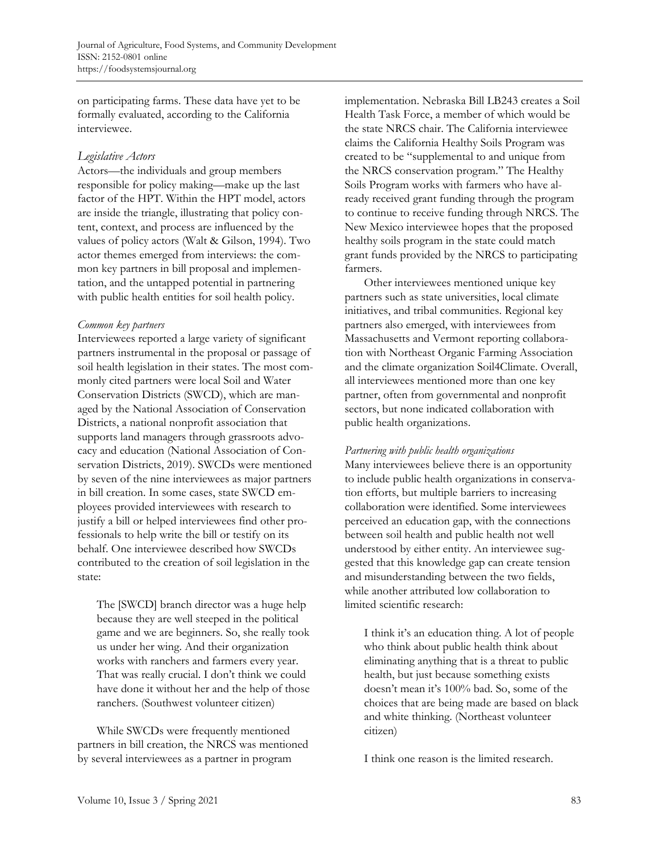on participating farms. These data have yet to be formally evaluated, according to the California interviewee.

### *Legislative Actors*

Actors—the individuals and group members responsible for policy making—make up the last factor of the HPT. Within the HPT model, actors are inside the triangle, illustrating that policy content, context, and process are influenced by the values of policy actors (Walt & Gilson, 1994). Two actor themes emerged from interviews: the common key partners in bill proposal and implementation, and the untapped potential in partnering with public health entities for soil health policy.

### *Common key partners*

Interviewees reported a large variety of significant partners instrumental in the proposal or passage of soil health legislation in their states. The most commonly cited partners were local Soil and Water Conservation Districts (SWCD), which are managed by the National Association of Conservation Districts, a national nonprofit association that supports land managers through grassroots advocacy and education (National Association of Conservation Districts, 2019). SWCDs were mentioned by seven of the nine interviewees as major partners in bill creation. In some cases, state SWCD employees provided interviewees with research to justify a bill or helped interviewees find other professionals to help write the bill or testify on its behalf. One interviewee described how SWCDs contributed to the creation of soil legislation in the state:

The [SWCD] branch director was a huge help because they are well steeped in the political game and we are beginners. So, she really took us under her wing. And their organization works with ranchers and farmers every year. That was really crucial. I don't think we could have done it without her and the help of those ranchers. (Southwest volunteer citizen)

 While SWCDs were frequently mentioned partners in bill creation, the NRCS was mentioned by several interviewees as a partner in program

implementation. Nebraska Bill LB243 creates a Soil Health Task Force, a member of which would be the state NRCS chair. The California interviewee claims the California Healthy Soils Program was created to be "supplemental to and unique from the NRCS conservation program." The Healthy Soils Program works with farmers who have already received grant funding through the program to continue to receive funding through NRCS. The New Mexico interviewee hopes that the proposed healthy soils program in the state could match grant funds provided by the NRCS to participating farmers.

 Other interviewees mentioned unique key partners such as state universities, local climate initiatives, and tribal communities. Regional key partners also emerged, with interviewees from Massachusetts and Vermont reporting collaboration with Northeast Organic Farming Association and the climate organization Soil4Climate. Overall, all interviewees mentioned more than one key partner, often from governmental and nonprofit sectors, but none indicated collaboration with public health organizations.

### *Partnering with public health organizations*

Many interviewees believe there is an opportunity to include public health organizations in conservation efforts, but multiple barriers to increasing collaboration were identified. Some interviewees perceived an education gap, with the connections between soil health and public health not well understood by either entity. An interviewee suggested that this knowledge gap can create tension and misunderstanding between the two fields, while another attributed low collaboration to limited scientific research:

I think it's an education thing. A lot of people who think about public health think about eliminating anything that is a threat to public health, but just because something exists doesn't mean it's 100% bad. So, some of the choices that are being made are based on black and white thinking. (Northeast volunteer citizen)

I think one reason is the limited research.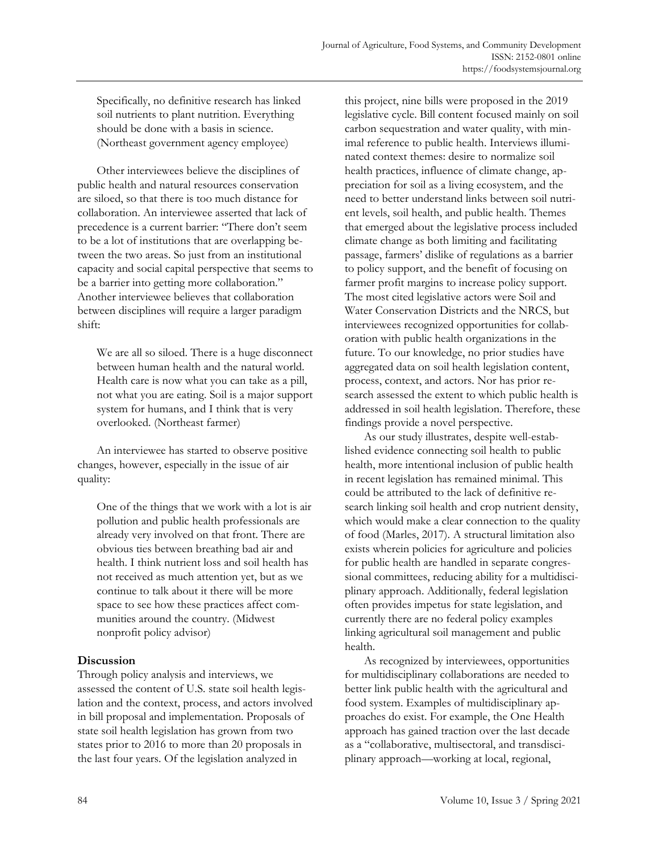Specifically, no definitive research has linked soil nutrients to plant nutrition. Everything should be done with a basis in science. (Northeast government agency employee)

 Other interviewees believe the disciplines of public health and natural resources conservation are siloed, so that there is too much distance for collaboration. An interviewee asserted that lack of precedence is a current barrier: "There don't seem to be a lot of institutions that are overlapping between the two areas. So just from an institutional capacity and social capital perspective that seems to be a barrier into getting more collaboration." Another interviewee believes that collaboration between disciplines will require a larger paradigm shift:

We are all so siloed. There is a huge disconnect between human health and the natural world. Health care is now what you can take as a pill, not what you are eating. Soil is a major support system for humans, and I think that is very overlooked. (Northeast farmer)

 An interviewee has started to observe positive changes, however, especially in the issue of air quality:

One of the things that we work with a lot is air pollution and public health professionals are already very involved on that front. There are obvious ties between breathing bad air and health. I think nutrient loss and soil health has not received as much attention yet, but as we continue to talk about it there will be more space to see how these practices affect communities around the country. (Midwest nonprofit policy advisor)

# **Discussion**

Through policy analysis and interviews, we assessed the content of U.S. state soil health legislation and the context, process, and actors involved in bill proposal and implementation. Proposals of state soil health legislation has grown from two states prior to 2016 to more than 20 proposals in the last four years. Of the legislation analyzed in

this project, nine bills were proposed in the 2019 legislative cycle. Bill content focused mainly on soil carbon sequestration and water quality, with minimal reference to public health. Interviews illuminated context themes: desire to normalize soil health practices, influence of climate change, appreciation for soil as a living ecosystem, and the need to better understand links between soil nutrient levels, soil health, and public health. Themes that emerged about the legislative process included climate change as both limiting and facilitating passage, farmers' dislike of regulations as a barrier to policy support, and the benefit of focusing on farmer profit margins to increase policy support. The most cited legislative actors were Soil and Water Conservation Districts and the NRCS, but interviewees recognized opportunities for collaboration with public health organizations in the future. To our knowledge, no prior studies have aggregated data on soil health legislation content, process, context, and actors. Nor has prior research assessed the extent to which public health is addressed in soil health legislation. Therefore, these findings provide a novel perspective.

 As our study illustrates, despite well-established evidence connecting soil health to public health, more intentional inclusion of public health in recent legislation has remained minimal. This could be attributed to the lack of definitive research linking soil health and crop nutrient density, which would make a clear connection to the quality of food (Marles, 2017). A structural limitation also exists wherein policies for agriculture and policies for public health are handled in separate congressional committees, reducing ability for a multidisciplinary approach. Additionally, federal legislation often provides impetus for state legislation, and currently there are no federal policy examples linking agricultural soil management and public health.

 As recognized by interviewees, opportunities for multidisciplinary collaborations are needed to better link public health with the agricultural and food system. Examples of multidisciplinary approaches do exist. For example, the One Health approach has gained traction over the last decade as a "collaborative, multisectoral, and transdisciplinary approach—working at local, regional,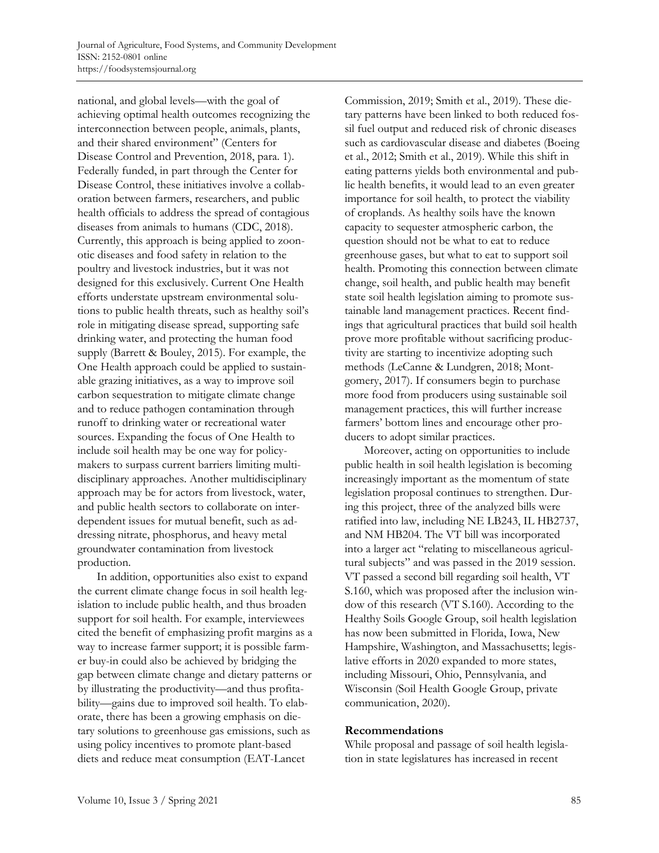national, and global levels—with the goal of achieving optimal health outcomes recognizing the interconnection between people, animals, plants, and their shared environment" (Centers for Disease Control and Prevention, 2018, para. 1). Federally funded, in part through the Center for Disease Control, these initiatives involve a collaboration between farmers, researchers, and public health officials to address the spread of contagious diseases from animals to humans (CDC, 2018). Currently, this approach is being applied to zoonotic diseases and food safety in relation to the poultry and livestock industries, but it was not designed for this exclusively. Current One Health efforts understate upstream environmental solutions to public health threats, such as healthy soil's role in mitigating disease spread, supporting safe drinking water, and protecting the human food supply (Barrett & Bouley, 2015). For example, the One Health approach could be applied to sustainable grazing initiatives, as a way to improve soil carbon sequestration to mitigate climate change and to reduce pathogen contamination through runoff to drinking water or recreational water sources. Expanding the focus of One Health to include soil health may be one way for policymakers to surpass current barriers limiting multidisciplinary approaches. Another multidisciplinary approach may be for actors from livestock, water, and public health sectors to collaborate on interdependent issues for mutual benefit, such as addressing nitrate, phosphorus, and heavy metal groundwater contamination from livestock production.

 In addition, opportunities also exist to expand the current climate change focus in soil health legislation to include public health, and thus broaden support for soil health. For example, interviewees cited the benefit of emphasizing profit margins as a way to increase farmer support; it is possible farmer buy-in could also be achieved by bridging the gap between climate change and dietary patterns or by illustrating the productivity—and thus profitability—gains due to improved soil health. To elaborate, there has been a growing emphasis on dietary solutions to greenhouse gas emissions, such as using policy incentives to promote plant-based diets and reduce meat consumption (EAT-Lancet

Commission, 2019; Smith et al., 2019). These dietary patterns have been linked to both reduced fossil fuel output and reduced risk of chronic diseases such as cardiovascular disease and diabetes (Boeing et al., 2012; Smith et al., 2019). While this shift in eating patterns yields both environmental and public health benefits, it would lead to an even greater importance for soil health, to protect the viability of croplands. As healthy soils have the known capacity to sequester atmospheric carbon, the question should not be what to eat to reduce greenhouse gases, but what to eat to support soil health. Promoting this connection between climate change, soil health, and public health may benefit state soil health legislation aiming to promote sustainable land management practices. Recent findings that agricultural practices that build soil health prove more profitable without sacrificing productivity are starting to incentivize adopting such methods (LeCanne & Lundgren, 2018; Montgomery, 2017). If consumers begin to purchase more food from producers using sustainable soil management practices, this will further increase farmers' bottom lines and encourage other producers to adopt similar practices.

 Moreover, acting on opportunities to include public health in soil health legislation is becoming increasingly important as the momentum of state legislation proposal continues to strengthen. During this project, three of the analyzed bills were ratified into law, including NE LB243, IL HB2737, and NM HB204. The VT bill was incorporated into a larger act "relating to miscellaneous agricultural subjects" and was passed in the 2019 session. VT passed a second bill regarding soil health, VT S.160, which was proposed after the inclusion window of this research (VT S.160). According to the Healthy Soils Google Group, soil health legislation has now been submitted in Florida, Iowa, New Hampshire, Washington, and Massachusetts; legislative efforts in 2020 expanded to more states, including Missouri, Ohio, Pennsylvania, and Wisconsin (Soil Health Google Group, private communication, 2020).

#### **Recommendations**

While proposal and passage of soil health legislation in state legislatures has increased in recent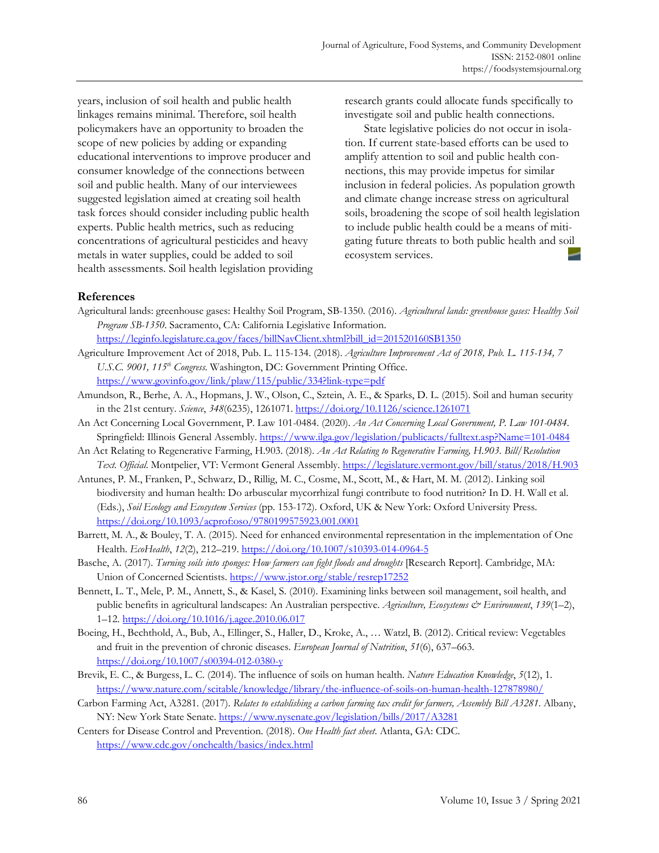years, inclusion of soil health and public health linkages remains minimal. Therefore, soil health policymakers have an opportunity to broaden the scope of new policies by adding or expanding educational interventions to improve producer and consumer knowledge of the connections between soil and public health. Many of our interviewees suggested legislation aimed at creating soil health task forces should consider including public health experts. Public health metrics, such as reducing concentrations of agricultural pesticides and heavy metals in water supplies, could be added to soil health assessments. Soil health legislation providing research grants could allocate funds specifically to investigate soil and public health connections.

 State legislative policies do not occur in isolation. If current state-based efforts can be used to amplify attention to soil and public health connections, this may provide impetus for similar inclusion in federal policies. As population growth and climate change increase stress on agricultural soils, broadening the scope of soil health legislation to include public health could be a means of mitigating future threats to both public health and soil ecosystem services.

### **References**

Agricultural lands: greenhouse gases: Healthy Soil Program, SB-1350. (2016). *Agricultural lands: greenhouse gases: Healthy Soil Program SB-1350*. Sacramento, CA: California Legislative Information.

https://leginfo.legislature.ca.gov/faces/billNavClient.xhtml?bill\_id=201520160SB1350

- Agriculture Improvement Act of 2018, Pub. L. 115-134. (2018). *Agriculture Improvement Act of 2018, Pub. L. 115-134, 7 U.S.C. 9001, 115th Congress*. Washington, DC: Government Printing Office. https://www.govinfo.gov/link/plaw/115/public/334?link-type=pdf
- Amundson, R., Berhe, A. A., Hopmans, J. W., Olson, C., Sztein, A. E., & Sparks, D. L. (2015). Soil and human security in the 21st century. *Science*, *348*(6235), 1261071. https://doi.org/10.1126/science.1261071
- An Act Concerning Local Government, P. Law 101-0484. (2020). *An Act Concerning Local Government, P. Law 101-0484.* Springfield: Illinois General Assembly. https://www.ilga.gov/legislation/publicacts/fulltext.asp?Name=101-0484
- An Act Relating to Regenerative Farming, H.903. (2018). *An Act Relating to Regenerative Farming, H.903*. *Bill/Resolution Text. Official*. Montpelier, VT: Vermont General Assembly. https://legislature.vermont.gov/bill/status/2018/H.903
- Antunes, P. M., Franken, P., Schwarz, D., Rillig, M. C., Cosme, M., Scott, M., & Hart, M. M. (2012). Linking soil biodiversity and human health: Do arbuscular mycorrhizal fungi contribute to food nutrition? In D. H. Wall et al. (Eds.), *Soil Ecology and Ecosystem Services* (pp. 153-172). Oxford, UK & New York: Oxford University Press. https://doi.org/10.1093/acprof:oso/9780199575923.001.0001
- Barrett, M. A., & Bouley, T. A. (2015). Need for enhanced environmental representation in the implementation of One Health. *EcoHealth*, *12*(2), 212–219. https://doi.org/10.1007/s10393-014-0964-5
- Basche, A. (2017). *Turning soils into sponges: How farmers can fight floods and droughts* [Research Report]. Cambridge, MA: Union of Concerned Scientists. https://www.jstor.org/stable/resrep17252
- Bennett, L. T., Mele, P. M., Annett, S., & Kasel, S. (2010). Examining links between soil management, soil health, and public benefits in agricultural landscapes: An Australian perspective. *Agriculture, Ecosystems & Environment*, *139*(1–2), 1–12. https://doi.org/10.1016/j.agee.2010.06.017
- Boeing, H., Bechthold, A., Bub, A., Ellinger, S., Haller, D., Kroke, A., … Watzl, B. (2012). Critical review: Vegetables and fruit in the prevention of chronic diseases. *European Journal of Nutrition*, *51*(6), 637–663. https://doi.org/10.1007/s00394-012-0380-y
- Brevik, E. C., & Burgess, L. C. (2014). The influence of soils on human health. *Nature Education Knowledge*, *5*(12), 1. https://www.nature.com/scitable/knowledge/library/the-influence-of-soils-on-human-health-127878980/
- Carbon Farming Act, A3281. (2017). *Relates to establishing a carbon farming tax credit for farmers, Assembly Bill A3281.* Albany, NY: New York State Senate. https://www.nysenate.gov/legislation/bills/2017/A3281

Centers for Disease Control and Prevention. (2018). *One Health fact sheet*. Atlanta, GA: CDC. https://www.cdc.gov/onehealth/basics/index.html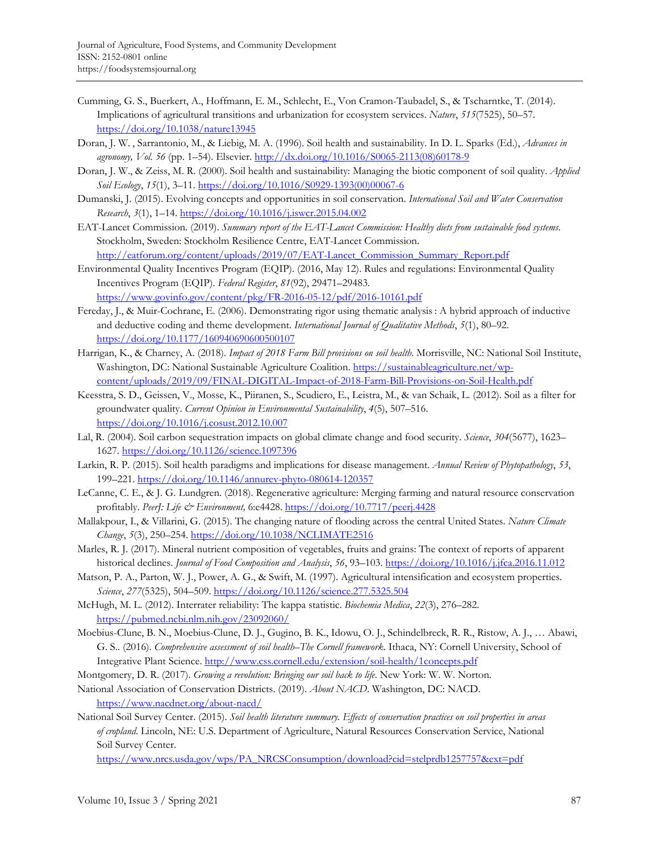- Cumming, G. S., Buerkert, A., Hoffmann, E. M., Schlecht, E., Von Cramon-Taubadel, S., & Tscharntke, T. (2014). Implications of agricultural transitions and urbanization for ecosystem services. *Nature*, *515*(7525), 50–57. https://doi.org/10.1038/nature13945
- Doran, J. W. , Sarrantonio, M., & Liebig, M. A. (1996). Soil health and sustainability. In D. L. Sparks (Ed.), *Advances in agronomy, Vol. 56* (pp. 1–54). Elsevier. [http://dx.doi.org/10.1016/S0065-2113\(08\)60178-9](http://dx.doi.org/10.1016/S0065-2113(08)60178-9)
- Doran, J. W., & Zeiss, M. R. (2000). Soil health and sustainability: Managing the biotic component of soil quality. *Applied Soil Ecology*, *15*(1), 3–11. [https://doi.org/10.1016/S0929-1393\(00\)00067-6](https://doi.org/10.1016/S0929-1393(00)00067-6)
- Dumanski, J. (2015). Evolving concepts and opportunities in soil conservation. *International Soil and Water Conservation Research*, *3*(1), 1–14. https://doi.org/10.1016/j.iswcr.2015.04.002
- EAT-Lancet Commission. (2019). *Summary report of the EAT-Lancet Commission: Healthy diets from sustainable food systems*. Stockholm, Sweden: Stockholm Resilience Centre, EAT-Lancet Commission. http://eatforum.org/content/uploads/2019/07/EAT-Lancet\_Commission\_Summary\_Report.pdf
- Environmental Quality Incentives Program (EQIP). (2016, May 12). Rules and regulations: Environmental Quality Incentives Program (EQIP). *Federal Register*, *81*(92), 29471–29483. https://www.govinfo.gov/content/pkg/FR-2016-05-12/pdf/2016-10161.pdf
- Fereday, J., & Muir-Cochrane, E. (2006). Demonstrating rigor using thematic analysis : A hybrid approach of inductive and deductive coding and theme development. *International Journal of Qualitative Methods*, *5*(1), 80–92. https://doi.org/10.1177/160940690600500107
- Harrigan, K., & Charney, A. (2018). *Impact of 2018 Farm Bill provisions on soil health*. Morrisville, NC: National Soil Institute, Washington, DC: National Sustainable Agriculture Coalition. https://sustainableagriculture.net/wp[content/uploads/2019/09/FINAL-DIGITAL-Impact-of-2018-Farm-Bill-Provisions-on-Soil-Health.pdf](https://sustainableagriculture.net/wp-content/uploads/2019/09/FINAL-DIGITAL-Impact-of-2018-Farm-Bill-Provisions-on-Soil-Health.pdf)
- Keesstra, S. D., Geissen, V., Mosse, K., Piiranen, S., Scudiero, E., Leistra, M., & van Schaik, L. (2012). Soil as a filter for groundwater quality. *Current Opinion in Environmental Sustainability*, *4*(5), 507–516. https://doi.org/10.1016/j.cosust.2012.10.007
- Lal, R. (2004). Soil carbon sequestration impacts on global climate change and food security. *Science*, *304*(5677), 1623– 1627. https://doi.org/10.1126/science.1097396
- Larkin, R. P. (2015). Soil health paradigms and implications for disease management. *Annual Review of Phytopathology*, *53*, 199–221. https://doi.org/10.1146/annurev-phyto-080614-120357
- LeCanne, C. E., & J. G. Lundgren. (2018). Regenerative agriculture: Merging farming and natural resource conservation profitably. *PeerJ: Life & Environment,* 6:e4428. https://doi.org/10.7717/peerj.4428
- Mallakpour, I., & Villarini, G. (2015). The changing nature of flooding across the central United States. *Nature Climate Change*, *5*(3), 250–254. https://doi.org/10.1038/NCLIMATE2516
- Marles, R. J. (2017). Mineral nutrient composition of vegetables, fruits and grains: The context of reports of apparent historical declines. *Journal of Food Composition and Analysis*, *56*, 93–103. https://doi.org/10.1016/j.jfca.2016.11.012
- Matson, P. A., Parton, W. J., Power, A. G., & Swift, M. (1997). Agricultural intensification and ecosystem properties. *Science*, *277*(5325), 504–509. https://doi.org/10.1126/science.277.5325.504
- McHugh, M. L. (2012). Interrater reliability: The kappa statistic. *Biochemia Medica*, *22*(3), 276–282. https://pubmed.ncbi.nlm.nih.gov/23092060/
- Moebius-Clune, B. N., Moebius-Clune, D. J., Gugino, B. K., Idowu, O. J., Schindelbreck, R. R., Ristow, A. J., … Abawi, G. S.. (2016). *Comprehensive assessment of soil health*–*The Cornell framework*. Ithaca, NY: Cornell University, School of Integrative Plant Science. http://www.css.cornell.edu/extension/soil-health/1concepts.pdf
- Montgomery, D. R. (2017). *Growing a revolution: Bringing our soil back to life*. New York: W. W. Norton.

National Association of Conservation Districts. (2019). *About NACD*. Washington, DC: NACD. https://www.nacdnet.org/about-nacd/

National Soil Survey Center. (2015). *Soil health literature summary. Effects of conservation practices on soil properties in areas of cropland*. Lincoln, NE: U.S. Department of Agriculture, Natural Resources Conservation Service, National Soil Survey Center.

https://www.nrcs.usda.gov/wps/PA\_NRCSConsumption/download?cid=stelprdb1257757&ext=pdf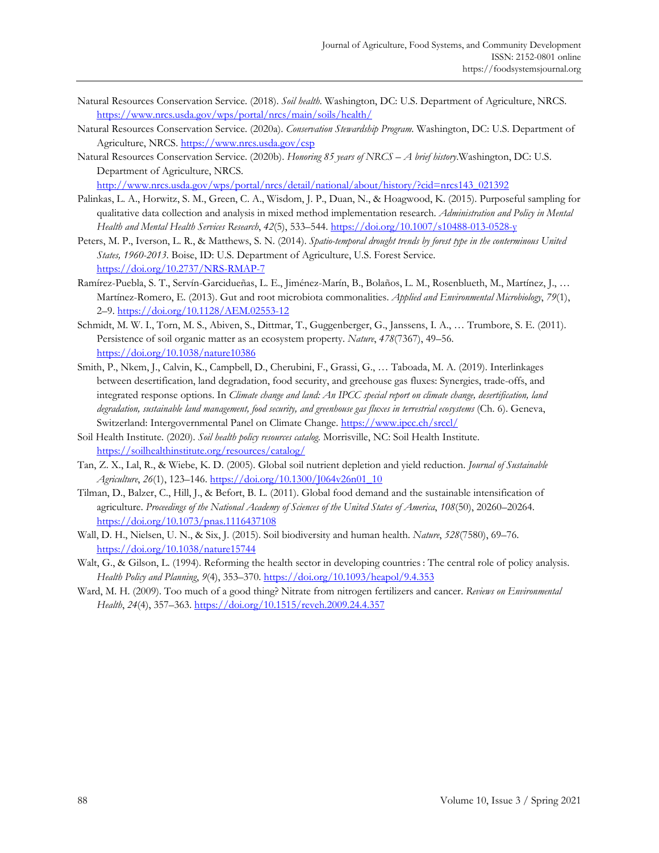- Natural Resources Conservation Service. (2018). *Soil health*. Washington, DC: U.S. Department of Agriculture, NRCS. https://www.nrcs.usda.gov/wps/portal/nrcs/main/soils/health/
- Natural Resources Conservation Service. (2020a). *Conservation Stewardship Program*. Washington, DC: U.S. Department of Agriculture, NRCS. https://www.nrcs.usda.gov/csp
- Natural Resources Conservation Service. (2020b). *Honoring 85 years of NRCS A brief history*.Washington, DC: U.S. Department of Agriculture, NRCS.

http://www.nrcs.usda.gov/wps/portal/nrcs/detail/national/about/history/?cid=nrcs143\_021392

- Palinkas, L. A., Horwitz, S. M., Green, C. A., Wisdom, J. P., Duan, N., & Hoagwood, K. (2015). Purposeful sampling for qualitative data collection and analysis in mixed method implementation research. *Administration and Policy in Mental Health and Mental Health Services Research*, *42*(5), 533–544. https://doi.org/10.1007/s10488-013-0528-y
- Peters, M. P., Iverson, L. R., & Matthews, S. N. (2014). *Spatio-temporal drought trends by forest type in the conterminous United States, 1960-2013*. Boise, ID: U.S. Department of Agriculture, U.S. Forest Service. https://doi.org/10.2737/NRS-RMAP-7
- Ramírez-Puebla, S. T., Servín-Garcidueñas, L. E., Jiménez-Marín, B., Bolaños, L. M., Rosenblueth, M., Martínez, J., … Martínez-Romero, E. (2013). Gut and root microbiota commonalities. *Applied and Environmental Microbiology*, *79*(1), 2–9. https://doi.org/10.1128/AEM.02553-12
- Schmidt, M. W. I., Torn, M. S., Abiven, S., Dittmar, T., Guggenberger, G., Janssens, I. A., … Trumbore, S. E. (2011). Persistence of soil organic matter as an ecosystem property. *Nature*, *478*(7367), 49–56. https://doi.org/10.1038/nature10386
- Smith, P., Nkem, J., Calvin, K., Campbell, D., Cherubini, F., Grassi, G., … Taboada, M. A. (2019). Interlinkages between desertification, land degradation, food security, and greehouse gas fluxes: Synergies, trade-offs, and integrated response options. In *Climate change and land: An IPCC special report on climate change, desertification, land degradation, sustainable land management, food security, and greenhouse gas fluxes in terrestrial ecosystems* (Ch. 6). Geneva, Switzerland: Intergovernmental Panel on Climate Change. https://www.ipcc.ch/srccl/
- Soil Health Institute. (2020). *Soil health policy resources catalog.* Morrisville, NC: Soil Health Institute. https://soilhealthinstitute.org/resources/catalog/
- Tan, Z. X., Lal, R., & Wiebe, K. D. (2005). Global soil nutrient depletion and yield reduction. *Journal of Sustainable Agriculture*, *26*(1), 123–146. https://doi.org/10.1300/J064v26n01\_10
- Tilman, D., Balzer, C., Hill, J., & Befort, B. L. (2011). Global food demand and the sustainable intensification of agriculture. *Proceedings of the National Academy of Sciences of the United States of America*, *108*(50), 20260–20264. https://doi.org/10.1073/pnas.1116437108
- Wall, D. H., Nielsen, U. N., & Six, J. (2015). Soil biodiversity and human health. *Nature*, *528*(7580), 69–76. https://doi.org/10.1038/nature15744
- Walt, G., & Gilson, L. (1994). Reforming the health sector in developing countries : The central role of policy analysis. *Health Policy and Planning*, *9*(4), 353–370. https://doi.org/10.1093/heapol/9.4.353
- Ward, M. H. (2009). Too much of a good thing? Nitrate from nitrogen fertilizers and cancer. *Reviews on Environmental Health*, *24*(4), 357–363. https://doi.org/10.1515/reveh.2009.24.4.357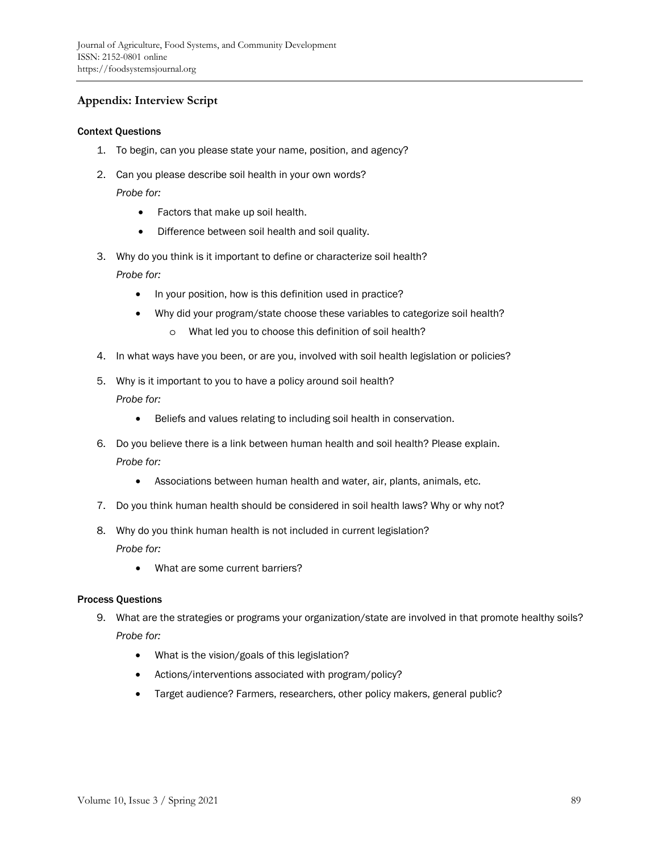# **Appendix: Interview Script**

#### Context Questions

- 1. To begin, can you please state your name, position, and agency?
- 2. Can you please describe soil health in your own words? *Probe for:* 
	- Factors that make up soil health.
	- Difference between soil health and soil quality.
- 3. Why do you think is it important to define or characterize soil health? *Probe for:* 
	- In your position, how is this definition used in practice?
	- Why did your program/state choose these variables to categorize soil health?
		- o What led you to choose this definition of soil health?
- 4. In what ways have you been, or are you, involved with soil health legislation or policies?
- 5. Why is it important to you to have a policy around soil health? *Probe for:* 
	- Beliefs and values relating to including soil health in conservation.
- 6. Do you believe there is a link between human health and soil health? Please explain. *Probe for:* 
	- Associations between human health and water, air, plants, animals, etc.
- 7. Do you think human health should be considered in soil health laws? Why or why not?
- 8. Why do you think human health is not included in current legislation? *Probe for:* 
	- What are some current barriers?

#### Process Questions

- 9. What are the strategies or programs your organization/state are involved in that promote healthy soils? *Probe for:* 
	- What is the vision/goals of this legislation?
	- Actions/interventions associated with program/policy?
	- Target audience? Farmers, researchers, other policy makers, general public?